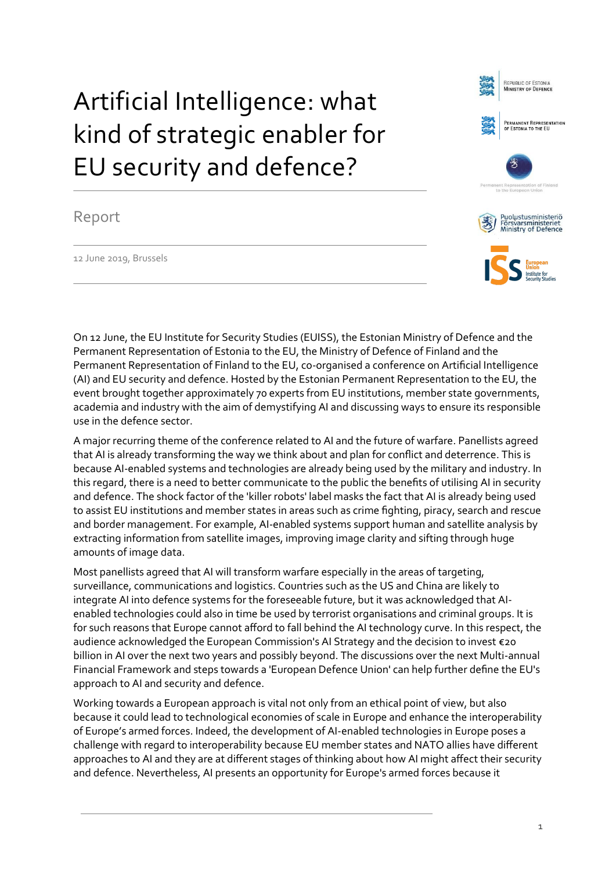## Artificial Intelligence: what kind of strategic enabler for EU security and defence?

## Report

12 June 2019, Brussels



REPUBLIC OF ESTONIA<br>MINISTRY OF DEFENCE

.<br>Permanent Representation<br>of Estonia to the EU

On 12 June, the EU Institute for Security Studies (EUISS), the Estonian Ministry of Defence and the Permanent Representation of Estonia to the EU, the Ministry of Defence of Finland and the Permanent Representation of Finland to the EU, co-organised a conference on Artificial Intelligence (AI) and EU security and defence. Hosted by the Estonian Permanent Representation to the EU, the event brought together approximately 70 experts from EU institutions, member state governments, academia and industry with the aim of demystifying AI and discussing ways to ensure its responsible use in the defence sector.

A major recurring theme of the conference related to AI and the future of warfare. Panellists agreed that AI is already transforming the way we think about and plan for conflict and deterrence. This is because AI-enabled systems and technologies are already being used by the military and industry. In this regard, there is a need to better communicate to the public the benefits of utilising AI in security and defence. The shock factor of the 'killer robots' label masks the fact that AI is already being used to assist EU institutions and member states in areas such as crime fighting, piracy, search and rescue and border management. For example, AI-enabled systems support human and satellite analysis by extracting information from satellite images, improving image clarity and sifting through huge amounts of image data.

Most panellists agreed that AI will transform warfare especially in the areas of targeting, surveillance, communications and logistics. Countries such as the US and China are likely to integrate AI into defence systems for the foreseeable future, but it was acknowledged that AIenabled technologies could also in time be used by terrorist organisations and criminal groups. It is for such reasons that Europe cannot afford to fall behind the AI technology curve. In this respect, the audience acknowledged the European Commission's AI Strategy and the decision to invest €20 billion in AI over the next two years and possibly beyond. The discussions over the next Multi-annual Financial Framework and steps towards a 'European Defence Union' can help further define the EU's approach to AI and security and defence.

Working towards a European approach is vital not only from an ethical point of view, but also because it could lead to technological economies of scale in Europe and enhance the interoperability of Europe's armed forces. Indeed, the development of AI-enabled technologies in Europe poses a challenge with regard to interoperability because EU member states and NATO allies have different approaches to AI and they are at different stages of thinking about how AI might affect their security and defence. Nevertheless, AI presents an opportunity for Europe's armed forces because it